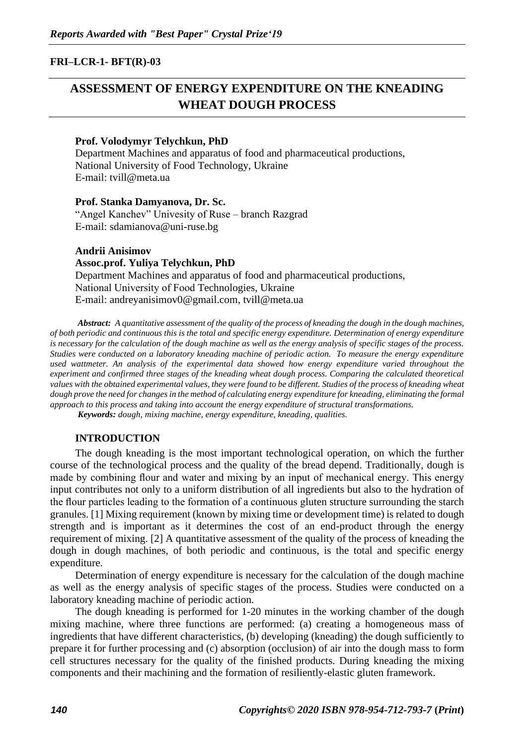# **FRI–LCR-1- BFT(R)-03**

# **ASSESSMENT OF ENERGY EXPENDITURE ON THE KNEADING WHEAT DOUGH PROCESS**

#### **Prof. Volodymyr Telychkun, PhD**

Department Machines and apparatus of food and pharmaceutical productions, National University of Food Technology, Ukraine Е-mail: tvill@meta.ua

**Prof. Stanka Damyanova, Dr. Sc.** "Angel Kanchev" Univesity of Ruse – branch Razgrad Е-mail: sdamianova@uni-ruse.bg

**Andrii Anisimov Assoc.prof. Yuliya Telychkun, PhD** Department Machines and apparatus of food and pharmaceutical productions, National University оf Food Technologies, Ukraine E-mail: [andreyanisimov0@gmail.com,](mailto:andreyanisimov0@gmail.com) tvill@meta.ua

*Abstract: A quantitative assessment of the quality of the process of kneading the dough in the dough machines, of both periodic and continuous this is the total and specific energy expenditure. Determination of energy expenditure is necessary for the calculation of the dough machine as well as the energy analysis of specific stages of the process. Studies were conducted on a laboratory kneading machine of periodic action. To measure the energy expenditure used wattmeter. An analysis of the experimental data showed how energy expenditure varied throughout the experiment and confirmed three stages of the kneading wheat dough process. Comparing the calculated theoretical values with the obtained experimental values, they were found to be different. Studies of the process of kneading wheat dough prove the need for changes in the method of calculating energy expenditure for kneading, eliminating the formal approach to this process and taking into account the energy expenditure of structural transformations.*

*Keywords: dough, mixing machine, energy expenditure, kneading, qualities.*

### **INTRODUCTION**

The dough kneading is the most important technological operation, on which the further course of the technological process and the quality of the bread depend. Traditionally, dough is made by combining flour and water and mixing by an input of mechanical energy. This energy input contributes not only to a uniform distribution of all ingredients but also to the hydration of the flour particles leading to the formation of a continuous gluten structure surrounding the starch granules. [1] Mixing requirement (known by mixing time or development time) is related to dough strength and is important as it determines the cost of an end-product through the energy requirement of mixing. [2] A quantitative assessment of the quality of the process of kneading the dough in dough machines, of both periodic and continuous, is the total and specific energy expenditure.

Determination of energy expenditure is necessary for the calculation of the dough machine as well as the energy analysis of specific stages of the process. Studies were conducted on a laboratory kneading machine of periodic action.

The dough kneading is performed for 1-20 minutes in the working chamber of the dough mixing machine, where three functions are performed: (a) creating a homogeneous mass of ingredients that have different characteristics, (b) developing (kneading) the dough sufficiently to prepare it for further processing and (c) absorption (occlusion) of air into the dough mass to form cell structures necessary for the quality of the finished products. During kneading the mixing components and their machining and the formation of resiliently-elastic gluten framework.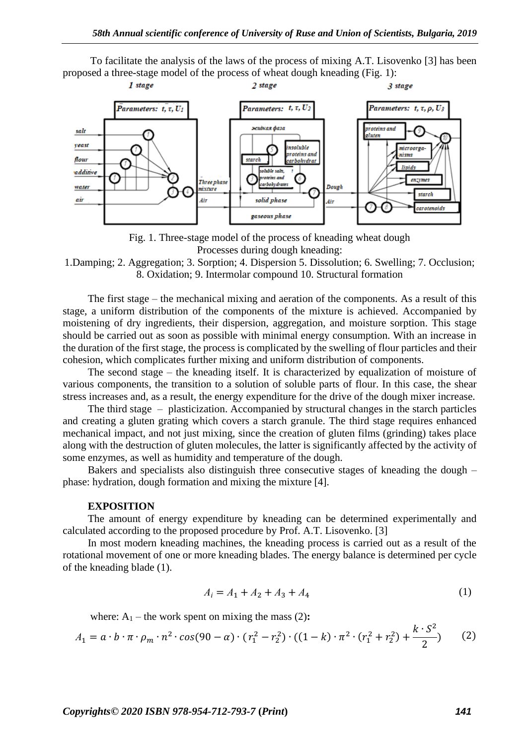To facilitate the analysis of the laws of the process of mixing A.T. Lisovenko [3] has been proposed a three-stage model of the process of wheat dough kneading (Fig. 1):



Fig. 1. Three-stage model of the process of kneading wheat dough Processes during dough kneading:

1.Damping; 2. Aggregation; 3. Sorption; 4. Dispersion 5. Dissolution; 6. Swelling; 7. Occlusion; 8. Oxidation; 9. Intermolar compound 10. Structural formation

The first stage – the mechanical mixing and aeration of the components. As a result of this stage, a uniform distribution of the components of the mixture is achieved. Accompanied by moistening of dry ingredients, their dispersion, aggregation, and moisture sorption. This stage should be carried out as soon as possible with minimal energy consumption. With an increase in the duration of the first stage, the process is complicated by the swelling of flour particles and their cohesion, which complicates further mixing and uniform distribution of components.

The second stage – the kneading itself. It is characterized by equalization of moisture of various components, the transition to a solution of soluble parts of flour. In this case, the shear stress increases and, as a result, the energy expenditure for the drive of the dough mixer increase.

The third stage – plasticization. Accompanied by structural changes in the starch particles and creating a gluten grating which covers a starch granule. The third stage requires enhanced mechanical impact, and not just mixing, since the creation of gluten films (grinding) takes place along with the destruction of gluten molecules, the latter is significantly affected by the activity of some enzymes, as well as humidity and temperature of the dough.

Bakers and specialists also distinguish three consecutive stages of kneading the dough – phase: hydration, dough formation and mixing the mixture [4].

#### **EXPOSITION**

The amount of energy expenditure by kneading can be determined experimentally and calculated according to the proposed procedure by Prof. A.T. Lisovenko. [3]

In most modern kneading machines, the kneading process is carried out as a result of the rotational movement of one or more kneading blades. The energy balance is determined per cycle of the kneading blade (1).

$$
A_i = A_1 + A_2 + A_3 + A_4 \tag{1}
$$

where:  $A_1$  – the work spent on mixing the mass (2):

$$
A_1 = a \cdot b \cdot \pi \cdot \rho_m \cdot n^2 \cdot \cos(90 - \alpha) \cdot (r_1^2 - r_2^2) \cdot ((1 - k) \cdot \pi^2 \cdot (r_1^2 + r_2^2) + \frac{k \cdot S^2}{2}) \tag{2}
$$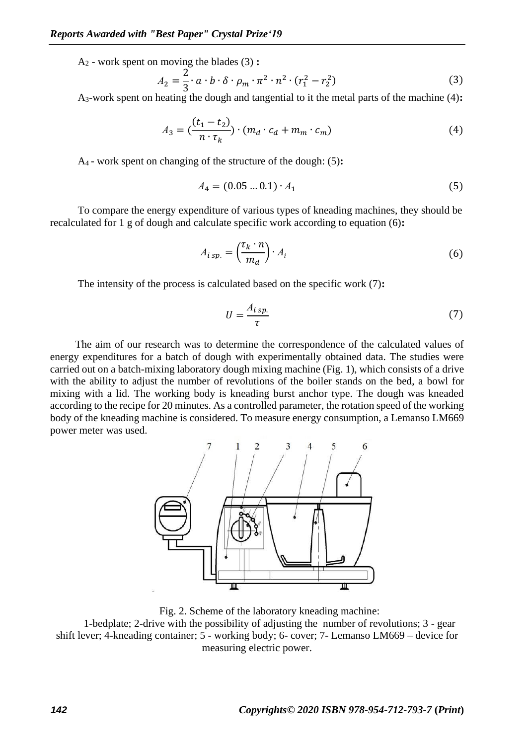A<sup>2</sup> - work spent on moving the blades (3) **:**

$$
A_2 = \frac{2}{3} \cdot a \cdot b \cdot \delta \cdot \rho_m \cdot \pi^2 \cdot n^2 \cdot (r_1^2 - r_2^2) \tag{3}
$$

A3-work spent on heating the dough and tangential to it the metal parts of the machine (4)**:**

$$
A_3 = \left(\frac{(t_1 - t_2)}{n \cdot \tau_k}\right) \cdot \left(m_d \cdot c_d + m_m \cdot c_m\right) \tag{4}
$$

A4 - work spent on changing of the structure of the dough: (5)**:**

$$
A_4 = (0.05 \dots 0.1) \cdot A_1 \tag{5}
$$

To compare the energy expenditure of various types of kneading machines, they should be recalculated for 1 g of dough and calculate specific work according to equation (6)**:**

$$
A_{i\ sp.} = \left(\frac{\tau_k \cdot n}{m_d}\right) \cdot A_i \tag{6}
$$

The intensity of the process is calculated based on the specific work (7)**:**

$$
U = \frac{A_{i\ sp.}}{\tau} \tag{7}
$$

The aim of our research was to determine the correspondence of the calculated values of energy expenditures for a batch of dough with experimentally obtained data. The studies were carried out on a batch-mixing laboratory dough mixing machine (Fig. 1), which consists of a drive with the ability to adjust the number of revolutions of the boiler stands on the bed, a bowl for mixing with a lid. The working body is kneading burst anchor type. The dough was kneaded according to the recipe for 20 minutes. As a controlled parameter, the rotation speed of the working body of the kneading machine is considered. To measure energy consumption, a Lemanso LM669 power meter was used.



Fig. 2. Scheme of the laboratory kneading machine:

1-bedplate; 2-drive with the possibility of adjusting the number of revolutions; 3 - gear shift lever; 4-kneading container; 5 - working body; 6- cover; 7- Lemanso LM669 – device for measuring electric power.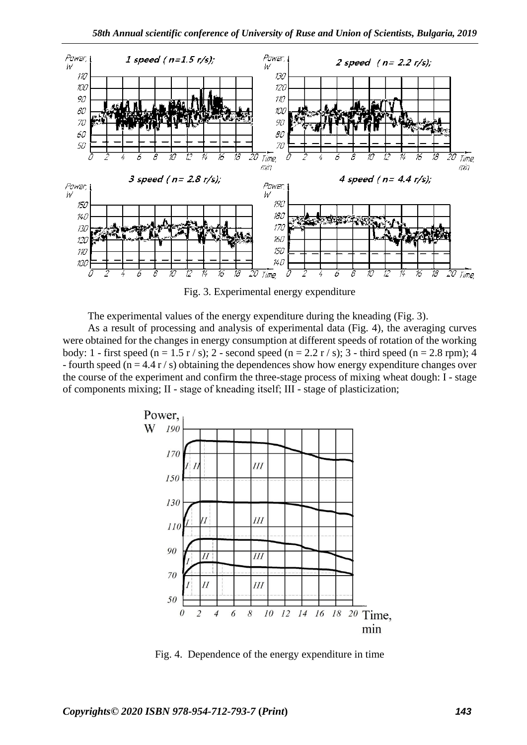

Fig. 3. Experimental energy expenditure

The experimental values of the energy expenditure during the kneading (Fig. 3).

As a result of processing and analysis of experimental data (Fig. 4), the averaging curves were obtained for the changes in energy consumption at different speeds of rotation of the working body: 1 - first speed (n = 1.5 r / s); 2 - second speed (n = 2.2 r / s); 3 - third speed (n = 2.8 rpm); 4 - fourth speed ( $n = 4.4 r/s$ ) obtaining the dependences show how energy expenditure changes over the course of the experiment and confirm the three-stage process of mixing wheat dough: I - stage of components mixing; II - stage of kneading itself; ІІІ - stage of plasticization;



Fig. 4. Dependence of the energy expenditure in time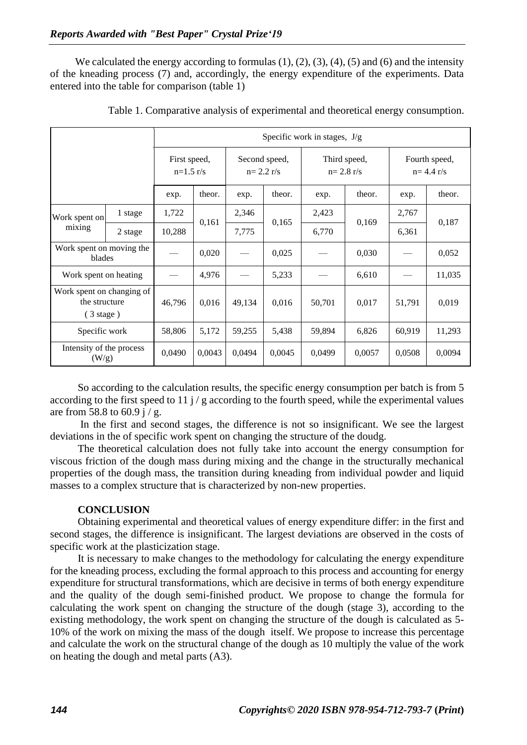We calculated the energy according to formulas  $(1)$ ,  $(2)$ ,  $(3)$ ,  $(4)$ ,  $(5)$  and  $(6)$  and the intensity of the kneading process (7) and, accordingly, the energy expenditure of the experiments. Data entered into the table for comparison (table 1)

|                                                                   |         | Specific work in stages, $J/g$ |        |                              |        |                               |        |                                |        |
|-------------------------------------------------------------------|---------|--------------------------------|--------|------------------------------|--------|-------------------------------|--------|--------------------------------|--------|
|                                                                   |         | First speed,<br>$n=1.5$ r/s    |        | Second speed,<br>$n=2.2 r/s$ |        | Third speed,<br>$n = 2.8$ r/s |        | Fourth speed,<br>$n = 4.4 r/s$ |        |
|                                                                   |         | exp.                           | theor. | exp.                         | theor. | exp.                          | theor. | exp.                           | theor. |
| Work spent on<br>mixing                                           | 1 stage | 1,722                          | 0,161  | 2,346                        | 0,165  | 2,423                         | 0,169  | 2,767                          | 0,187  |
|                                                                   | 2 stage | 10,288                         |        | 7,775                        |        | 6,770                         |        | 6,361                          |        |
| Work spent on moving the<br>blades                                |         |                                | 0,020  |                              | 0,025  |                               | 0,030  |                                | 0,052  |
| Work spent on heating                                             |         |                                | 4,976  |                              | 5,233  |                               | 6,610  |                                | 11,035 |
| Work spent on changing of<br>the structure<br>$(3 \text{ stage})$ |         | 46,796                         | 0,016  | 49,134                       | 0,016  | 50,701                        | 0,017  | 51,791                         | 0,019  |
| Specific work                                                     |         | 58,806                         | 5,172  | 59,255                       | 5,438  | 59,894                        | 6,826  | 60,919                         | 11,293 |
| Intensity of the process<br>(W/g)                                 |         | 0,0490                         | 0.0043 | 0,0494                       | 0,0045 | 0,0499                        | 0,0057 | 0,0508                         | 0,0094 |

Table 1. Comparative analysis of experimental and theoretical energy consumption.

So according to the calculation results, the specific energy consumption per batch is from 5 according to the first speed to 11  $j$  / g according to the fourth speed, while the experimental values are from 58.8 to 60.9 i  $/$  g.

In the first and second stages, the difference is not so insignificant. We see the largest deviations in the of specific work spent on changing the structure of the doudg.

The theoretical calculation does not fully take into account the energy consumption for viscous friction of the dough mass during mixing and the change in the structurally mechanical properties of the dough mass, the transition during kneading from individual powder and liquid masses to a complex structure that is characterized by non-new properties.

## **CONCLUSION**

Obtaining experimental and theoretical values of energy expenditure differ: in the first and second stages, the difference is insignificant. The largest deviations are observed in the costs of specific work at the plasticization stage.

It is necessary to make changes to the methodology for calculating the energy expenditure for the kneading process, excluding the formal approach to this process and accounting for energy expenditure for structural transformations, which are decisive in terms of both energy expenditure and the quality of the dough semi-finished product. We propose to change the formula for calculating the work spent on changing the structure of the dough (stage 3), according to the existing methodology, the work spent on changing the structure of the dough is calculated as 5- 10% of the work on mixing the mass of the dough itself. We propose to increase this percentage and calculate the work on the structural change of the dough as 10 multiply the value of the work on heating the dough and metal parts (A3).